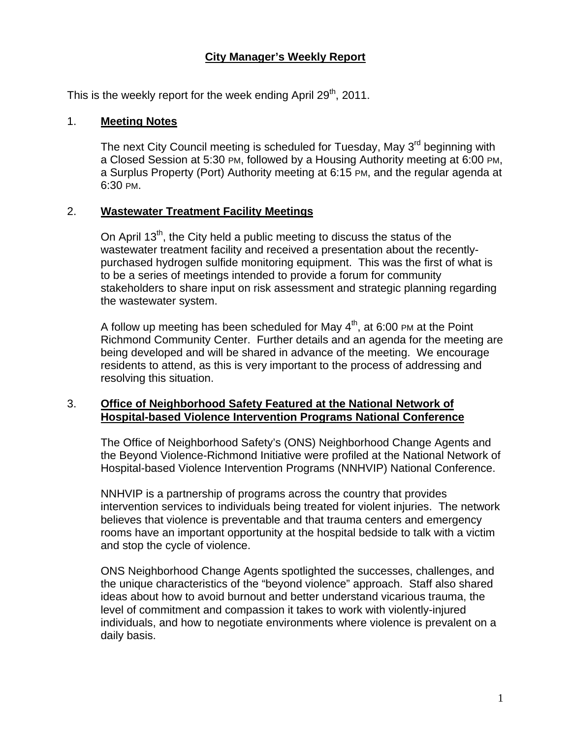### **City Manager's Weekly Report**

This is the weekly report for the week ending April 29<sup>th</sup>, 2011.

#### 1. **Meeting Notes**

The next City Council meeting is scheduled for Tuesday, May 3<sup>rd</sup> beginning with a Closed Session at 5:30 PM, followed by a Housing Authority meeting at 6:00 PM, a Surplus Property (Port) Authority meeting at 6:15 PM, and the regular agenda at 6:30 PM.

#### 2. **Wastewater Treatment Facility Meetings**

On April  $13<sup>th</sup>$ , the City held a public meeting to discuss the status of the wastewater treatment facility and received a presentation about the recentlypurchased hydrogen sulfide monitoring equipment. This was the first of what is to be a series of meetings intended to provide a forum for community stakeholders to share input on risk assessment and strategic planning regarding the wastewater system.

A follow up meeting has been scheduled for May  $4<sup>th</sup>$ , at 6:00 PM at the Point Richmond Community Center. Further details and an agenda for the meeting are being developed and will be shared in advance of the meeting. We encourage residents to attend, as this is very important to the process of addressing and resolving this situation.

#### 3. **Office of Neighborhood Safety Featured at the National Network of Hospital-based Violence Intervention Programs National Conference**

The Office of Neighborhood Safety's (ONS) Neighborhood Change Agents and the Beyond Violence-Richmond Initiative were profiled at the National Network of Hospital-based Violence Intervention Programs (NNHVIP) National Conference.

NNHVIP is a partnership of programs across the country that provides intervention services to individuals being treated for violent injuries. The network believes that violence is preventable and that trauma centers and emergency rooms have an important opportunity at the hospital bedside to talk with a victim and stop the cycle of violence.

ONS Neighborhood Change Agents spotlighted the successes, challenges, and the unique characteristics of the "beyond violence" approach. Staff also shared ideas about how to avoid burnout and better understand vicarious trauma, the level of commitment and compassion it takes to work with violently-injured individuals, and how to negotiate environments where violence is prevalent on a daily basis.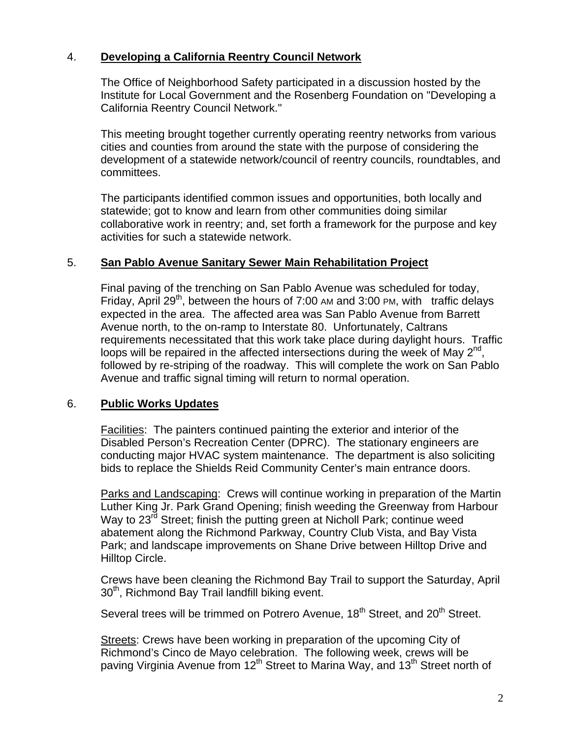### 4. **Developing a California Reentry Council Network**

The Office of Neighborhood Safety participated in a discussion hosted by the Institute for Local Government and the Rosenberg Foundation on "Developing a California Reentry Council Network."

This meeting brought together currently operating reentry networks from various cities and counties from around the state with the purpose of considering the development of a statewide network/council of reentry councils, roundtables, and committees.

The participants identified common issues and opportunities, both locally and statewide; got to know and learn from other communities doing similar collaborative work in reentry; and, set forth a framework for the purpose and key activities for such a statewide network.

#### 5. **San Pablo Avenue Sanitary Sewer Main Rehabilitation Project**

Final paving of the trenching on San Pablo Avenue was scheduled for today, Friday, April 29<sup>th</sup>, between the hours of 7:00 AM and 3:00 PM, with traffic delays expected in the area. The affected area was San Pablo Avenue from Barrett Avenue north, to the on-ramp to Interstate 80. Unfortunately, Caltrans requirements necessitated that this work take place during daylight hours. Traffic loops will be repaired in the affected intersections during the week of May  $2^{nd}$ , followed by re-striping of the roadway. This will complete the work on San Pablo Avenue and traffic signal timing will return to normal operation.

## 6. **Public Works Updates**

Facilities: The painters continued painting the exterior and interior of the Disabled Person's Recreation Center (DPRC). The stationary engineers are conducting major HVAC system maintenance. The department is also soliciting bids to replace the Shields Reid Community Center's main entrance doors.

Parks and Landscaping: Crews will continue working in preparation of the Martin Luther King Jr. Park Grand Opening; finish weeding the Greenway from Harbour Way to 23<sup>rd</sup> Street; finish the putting green at Nicholl Park; continue weed abatement along the Richmond Parkway, Country Club Vista, and Bay Vista Park; and landscape improvements on Shane Drive between Hilltop Drive and Hilltop Circle.

Crews have been cleaning the Richmond Bay Trail to support the Saturday, April  $30<sup>th</sup>$ , Richmond Bay Trail landfill biking event.

Several trees will be trimmed on Potrero Avenue, 18<sup>th</sup> Street, and 20<sup>th</sup> Street.

Streets: Crews have been working in preparation of the upcoming City of Richmond's Cinco de Mayo celebration. The following week, crews will be paving Virginia Avenue from 12<sup>th</sup> Street to Marina Way, and 13<sup>th</sup> Street north of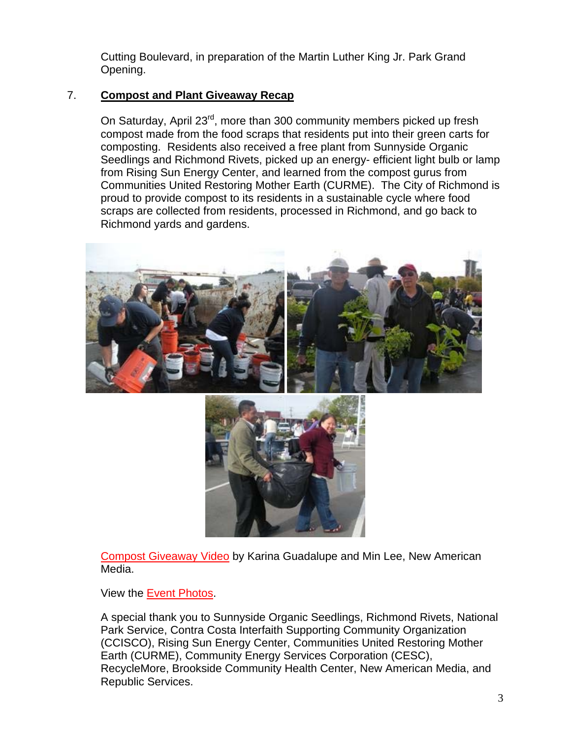Cutting Boulevard, in preparation of the Martin Luther King Jr. Park Grand Opening.

## 7. **Compost and Plant Giveaway Recap**

On Saturday, April 23<sup>rd</sup>, more than 300 community members picked up fresh compost made from the food scraps that residents put into their green carts for composting. Residents also received a free plant from Sunnyside Organic Seedlings and Richmond Rivets, picked up an energy- efficient light bulb or lamp from Rising Sun Energy Center, and learned from the compost gurus from Communities United Restoring Mother Earth (CURME). The City of Richmond is proud to provide compost to its residents in a sustainable cycle where food scraps are collected from residents, processed in Richmond, and go back to Richmond yards and gardens.



[Compost Giveaway Video](http://www.youtube.com/richmondenvironment#p/a/u/0/iNkTck7Ocyk) by Karina Guadalupe and Min Lee, New American Media.

View the [Event Photos.](http://www.flickr.com/photos/richmondenvironment/sets/72157626577589442/with/5655300092/)

A special thank you to Sunnyside Organic Seedlings, Richmond Rivets, National Park Service, Contra Costa Interfaith Supporting Community Organization (CCISCO), Rising Sun Energy Center, Communities United Restoring Mother Earth (CURME), Community Energy Services Corporation (CESC), RecycleMore, Brookside Community Health Center, New American Media, and Republic Services.